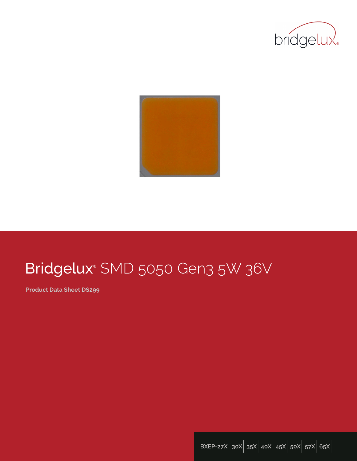



# Bridgelux® SMD 5050 Gen3 5W 36V

**Product Data Sheet DS299**

**BXEP-27X**| **30X**| **35X**| **40X**| **45X**| **50X**| **57X**| **65X**|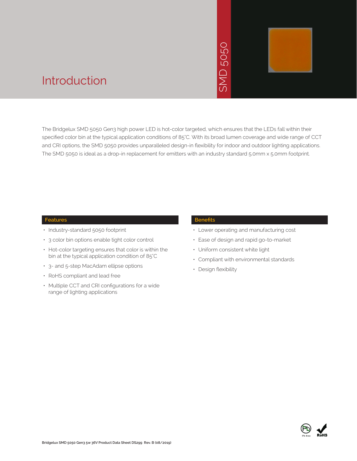# 5050 **GMD**



### Introduction

The Bridgelux SMD 5050 Gen3 high power LED is hot-color targeted, which ensures that the LEDs fall within their specified color bin at the typical application conditions of 85°C. With its broad lumen coverage and wide range of CCT and CRI options, the SMD 5050 provides unparalleled design-in flexibility for indoor and outdoor lighting applications. The SMD 5050 is ideal as a drop-in replacement for emitters with an industry standard 5.0mm x 5.0mm footprint. • Peted, which ensure<br>
With its broad lume<br>
flexibility for indoo<br>
th an industry stand<br> **Benefits**<br>
• Lower operating<br>
• Ease of design a<br>
• Uniform consiste<br>
• Compliant with e<br>
• Design flexibility

#### **Features**

- Industry-standard 5050 footprint
- 3 color bin options enable tight color control
- Hot-color targeting ensures that color is within the bin at the typical application condition of 85°C
- 3- and 5-step MacAdam ellipse options
- RoHS compliant and lead free
- Multiple CCT and CRI configurations for a wide range of lighting applications

#### **Benefits**

- Lower operating and manufacturing cost
- Ease of design and rapid go-to-market
- Uniform consistent white light
- Compliant with environmental standards
- · Design flexibility

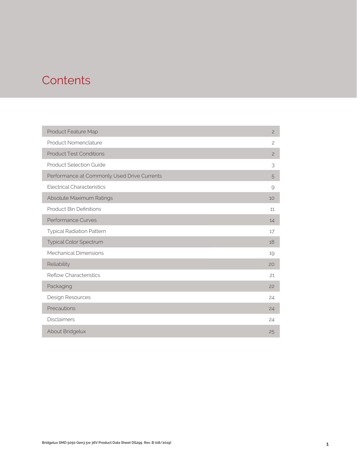### **Contents**

| Product Feature Map                         | $\overline{c}$ |
|---------------------------------------------|----------------|
| Product Nomenclature                        | $\overline{c}$ |
| <b>Product Test Conditions</b>              | $\overline{c}$ |
| <b>Product Selection Guide</b>              | 3              |
| Performance at Commonly Used Drive Currents | 5              |
| <b>Electrical Characteristics</b>           | 9              |
| Absolute Maximum Ratings                    | 10             |
| <b>Product Bin Definitions</b>              | 11             |
| Performance Curves                          | 14             |
| <b>Typical Radiation Pattern</b>            | 17             |
| <b>Typical Color Spectrum</b>               | 18             |
| <b>Mechanical Dimensions</b>                | 19             |
| Reliability                                 | 20             |
| <b>Reflow Characteristics</b>               | 21             |
| Packaging                                   | 22             |
| Design Resources                            | 24             |
| Precautions                                 | 24             |
| <b>Disclaimers</b>                          | 24             |
| About Bridgelux                             | 25             |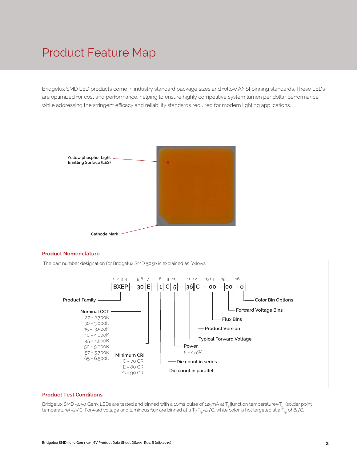### Product Feature Map

Bridgelux SMD LED products come in industry standard package sizes and follow ANSI binning standards. These LEDs are optimized for cost and performance, helping to ensure highly competitive system lumen per dollar performance while addressing the stringent efficacy and reliability standards required for modern lighting applications.



#### **Product Nomenclature**



#### **Product Test Conditions**

Bridgelux SMD 5050 Gen3 LEDs are tested and binned with a 10ms pulse of 125mA at T<sub>j</sub> (junction temperature)=T<sub>sp</sub> (solder point temperature) =25°C. Forward voltage and luminous flux are binned at a T<sub>j=</sub>T<sub>sp</sub>=25°C, while color is hot targeted at a T<sub>sp</sub> of 85°C.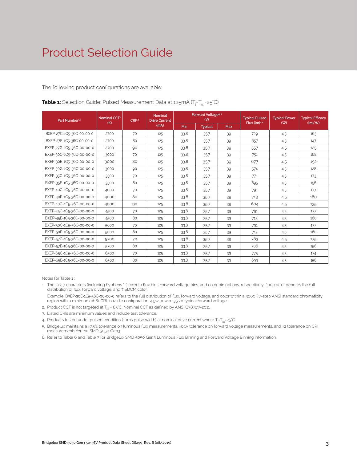The following product configurations are available:

| Nominal CCT <sup>2</sup><br>Part Number <sup>1,6</sup><br>(K) |      | CRI3.5 | <b>Nominal</b><br><b>Drive Current</b> | Forward Voltage <sup>4.5</sup><br>(V) |                |     | <b>Typical Pulsed</b><br>Flux $(lm)^{4.5}$ | <b>Typical Power</b> | <b>Typical Efficacy</b><br>$\langle \text{Im}/\text{W} \rangle$ |
|---------------------------------------------------------------|------|--------|----------------------------------------|---------------------------------------|----------------|-----|--------------------------------------------|----------------------|-----------------------------------------------------------------|
|                                                               |      |        | (mA)                                   | Min                                   | <b>Typical</b> | Max |                                            | (W)                  |                                                                 |
| BXEP-27C-1C5-36C-00-00-0                                      | 2700 | 70     | 125                                    | 33.8                                  | 35.7           | 39  | 729                                        | 4.5                  | 163                                                             |
| BXEP-27E-1C5-36C-00-00-0                                      | 2700 | 80     | 125                                    | 33.8                                  | 35.7           | 39  | 657                                        | 4.5                  | 147                                                             |
| BXEP-27G-1C5-36C-00-00-0                                      | 2700 | 90     | 125                                    | 33.8                                  | 35.7           | 39  | 557                                        | 4.5                  | 125                                                             |
| BXEP-30C-1C5-36C-00-00-0                                      | 3000 | 70     | 125                                    | 33.8                                  | 35.7           | 39  | 751                                        | 4.5                  | 168                                                             |
| BXEP-30E-1C5-36C-00-00-0                                      | 3000 | 80     | 125                                    | 33.8                                  | 35.7           | 39  | 677                                        | 4.5                  | 152                                                             |
| BXEP-30G-1C5-36C-00-00-0                                      | 3000 | 90     | 125                                    | 33.8                                  | 35.7           | 39  | 574                                        | 4.5                  | 128                                                             |
| BXEP-35C-1C5-36C-00-00-0                                      | 3500 | 70     | 125                                    | 33.8                                  | 35.7           | 39  | 771                                        | 4.5                  | 173                                                             |
| BXEP-35E-1C5-36C-00-00-0                                      | 3500 | 80     | 125                                    | 33.8                                  | 35.7           | 39  | 695                                        | 4.5                  | 156                                                             |
| BXEP-40C-1C5-36C-00-00-0                                      | 4000 | 70     | 125                                    | 33.8                                  | 35.7           | 39  | 791                                        | 4.5                  | 177                                                             |
| BXEP-40E-1C5-36C-00-00-0                                      | 4000 | 80     | 125                                    | 33.8                                  | 35.7           | 39  | 713                                        | 4.5                  | 160                                                             |
| BXEP-40G-1C5-36C-00-00-0                                      | 4000 | 90     | 125                                    | 33.8                                  | 35.7           | 39  | 604                                        | 4.5                  | 135                                                             |
| BXEP-45C-1C5-36C-00-00-0                                      | 4500 | 70     | 125                                    | 33.8                                  | 35.7           | 39  | 791                                        | 4.5                  | 177                                                             |
| BXEP-45E-1C5-36C-00-00-0                                      | 4500 | 80     | 125                                    | 33.8                                  | 35.7           | 39  | 713                                        | 4.5                  | 160                                                             |
| BXEP-50C-1C5-36C-00-00-0                                      | 5000 | 70     | 125                                    | 33.8                                  | 35.7           | 39  | 791                                        | 4.5                  | 177                                                             |
| BXEP-50E-1C5-36C-00-00-0                                      | 5000 | 80     | 125                                    | 33.8                                  | 35.7           | 39  | 713                                        | 4.5                  | 160                                                             |
| BXEP-57C-1C5-36C-00-00-0                                      | 5700 | 70     | 125                                    | 33.8                                  | 35.7           | 39  | 783                                        | 4.5                  | 175                                                             |
| BXEP-57E-1C5-36C-00-00-0                                      | 5700 | 80     | 125                                    | 33.8                                  | 35.7           | 39  | 706                                        | 4.5                  | 158                                                             |
| BXEP-65C-1C5-36C-00-00-0                                      | 6500 | 70     | 125                                    | 33.8                                  | 35.7           | 39  | 775                                        | 4.5                  | 174                                                             |
| BXEP-65E-1C5-36C-00-00-0                                      | 6500 | 80     | 125                                    | 33.8                                  | 35.7           | 39  | 699                                        | 4.5                  | 156                                                             |

**Table 1:** Selection Guide, Pulsed Measurement Data at 125mA (T<sub>j</sub>=T<sub>sp</sub>=25°C)

Notes for Table 1 :

- 1. The last 7 characters (including hyphens '-') refer to flux bins, forward voltage bins, and color bin options, respectively. "00-00-0" denotes the full distribution of flux, forward voltage, and 7 SDCM color.
- Example: BXEP-30E-1C5-36C-00-00-0 refers to the full distribution of flux, forward voltage, and color within a 3000K 7-step ANSI standard chromaticity region with a minimum of 80CRI, 1x12 die configuration, 4.5w power, 35.7V typical forward voltage.
- 2. Product CCT is hot targeted at  $T_{\text{sn}}$  = 85°C. Nominal CCT as defined by ANSI C78.377-2011.
- 3. Listed CRIs are minimum values and include test tolerance.
- 4. Products tested under pulsed condition (10ms pulse width) at nominal drive current where T<sub>i</sub>-T<sub>sp</sub>-25°C.
- 5. Bridgelux maintains a ±7.5% tolerance on luminous flux measurements, ±0.1V tolerance on forward voltage measurements, and ±2 tolerance on CRI measurements for the SMD 5050 Gen3.
- 6. Refer to Table 6 and Table 7 for Bridgelux SMD 5050 Gen3 Luminous Flux Binning and Forward Voltage Binning information.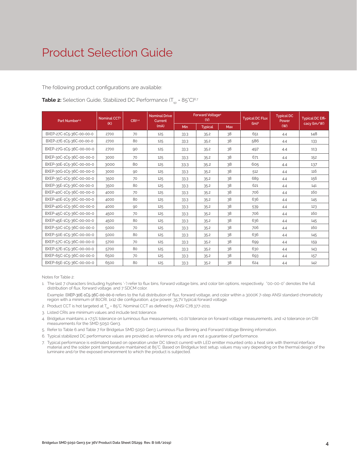The following product configurations are available:

#### **Table 2:** Selection Guide, Stabilized DC Performance  $(T_{\rm SD} = 85^{\circ}C)^{6.7}$

| Part Number <sup>1,5</sup> | Nominal CCT <sup>2</sup> | <b>Nominal Drive</b><br>CR13.4<br>Current |      | Forward Voltage <sup>4</sup><br>(V) |                |     | <b>Typical DC Flux</b> | <b>Typical DC</b><br>Power | <b>Typical DC Effi-</b> |
|----------------------------|--------------------------|-------------------------------------------|------|-------------------------------------|----------------|-----|------------------------|----------------------------|-------------------------|
|                            | (K)                      |                                           | (mA) | <b>Min</b>                          | <b>Typical</b> | Max | (lm) <sup>4</sup>      | (VV)                       | cacy (lm/W)             |
| BXEP-27C-1C5-36C-00-00-0   | 2700                     | 70                                        | 125  | 33.3                                | 35.2           | 38  | 651                    | 4.4                        | 148                     |
| BXEP-27E-1C5-36C-00-00-0   | 2700                     | 80                                        | 125  | 33.3                                | 35.2           | 38  | 586                    | 4.4                        | 133                     |
| BXEP-27G-1C5-36C-00-00-0   | 2700                     | 90                                        | 125  | 33.3                                | 35.2           | 38  | 497                    | 4.4                        | 113                     |
| BXEP-30C-1C5-36C-00-00-0   | 3000                     | 70                                        | 125  | 33.3                                | 35.2           | 38  | 671                    | 4.4                        | 152                     |
| BXEP-30E-1C5-36C-00-00-0   | 3000                     | 80                                        | 125  | 33.3                                | 35.2           | 38  | 605                    | 4.4                        | 137                     |
| BXEP-30G-1C5-36C-00-00-0   | 3000                     | 90                                        | 125  | 33.3                                | 35.2           | 38  | 512                    | 4.4                        | 116                     |
| BXEP-35C-1C5-36C-00-00-0   | 3500                     | 70                                        | 125  | 33.3                                | 35.2           | 38  | 689                    | 4.4                        | 156                     |
| BXEP-35E-1C5-36C-00-00-0   | 3500                     | 80                                        | 125  | 33.3                                | 35.2           | 38  | 621                    | 4.4                        | 141                     |
| BXEP-40C-1C5-36C-00-00-0   | 4000                     | 70                                        | 125  | 33.3                                | 35.2           | 38  | 706                    | 4.4                        | 160                     |
| BXEP-40E-1C5-36C-00-00-0   | 4000                     | 80                                        | 125  | 33.3                                | 35.2           | 38  | 636                    | 4.4                        | 145                     |
| BXEP-40G-1C5-36C-00-00-0   | 4000                     | 90                                        | 125  | 33.3                                | 35.2           | 38  | 539                    | 4.4                        | 123                     |
| BXEP-45C-1C5-36C-00-00-0   | 4500                     | 70                                        | 125  | 33.3                                | 35.2           | 38  | 706                    | 4.4                        | 160                     |
| BXEP-45E-1C5-36C-00-00-0   | 4500                     | 80                                        | 125  | 33.3                                | 35.2           | 38  | 636                    | 4.4                        | 145                     |
| BXEP-50C-1C5-36C-00-00-0   | 5000                     | 70                                        | 125  | 33.3                                | 35.2           | 38  | 706                    | 4.4                        | 160                     |
| BXEP-50E-1C5-36C-00-00-0   | 5000                     | 80                                        | 125  | 33.3                                | 35.2           | 38  | 636                    | 4.4                        | 145                     |
| BXEP-57C-1C5-36C-00-00-0   | 5700                     | 70                                        | 125  | 33.3                                | 35.2           | 38  | 699                    | 4.4                        | 159                     |
| BXEP-57E-1C5-36C-00-00-0   | 5700                     | 80                                        | 125  | 33.3                                | 35.2           | 38  | 630                    | 4.4                        | 143                     |
| BXEP-65C-1C5-36C-00-00-0   | 6500                     | 70                                        | 125  | 33.3                                | 35.2           | 38  | 693                    | 4.4                        | 157                     |
| BXEP-65E-1C5-36C-00-00-0   | 6500                     | 80                                        | 125  | 33.3                                | 35.2           | 38  | 624                    | 4.4                        | 142                     |

Notes for Table 2:

- 1. The last 7 characters (including hyphens '-') refer to flux bins, forward voltage bins, and color bin options, respectively. "00-00-0" denotes the full distribution of flux, forward voltage, and 7 SDCM color.
- Example: BXEP-30E-1C5-36C-00-00-0 refers to the full distribution of flux, forward voltage, and color within a 3000K 7-step ANSI standard chromaticity region with a minimum of 80CRI, 1x12 die configuration, 4.5w power, 35.7V typical forward voltage.
- 2. Product CCT is hot targeted at T<sub>co</sub> = 85°C. Nominal CCT as defined by ANSI C78.377-2011.
- 3. Listed CRIs are minimum values and include test tolerance.
- 4. Bridgelux maintains a ±7.5% tolerance on luminous flux measurements, ±0.1V tolerance on forward voltage measurements, and ±2 tolerance on CRI measurements for the SMD 5050 Gen3.
- 5. Refer to Table 6 and Table 7 for Bridgelux SMD 5050 Gen3 Luminous Flux Binning and Forward Voltage Binning information.
- 6. Typical stabilized DC performance values are provided as reference only and are not a guarantee of performance.
- 7. Typical performance is estimated based on operation under DC (direct current) with LED emitter mounted onto a heat sink with thermal interface material and the solder point temperature maintained at 85°C. Based on Bridgelux test setup, values may vary depending on the thermal design of the luminaire and/or the exposed environment to which the product is subjected.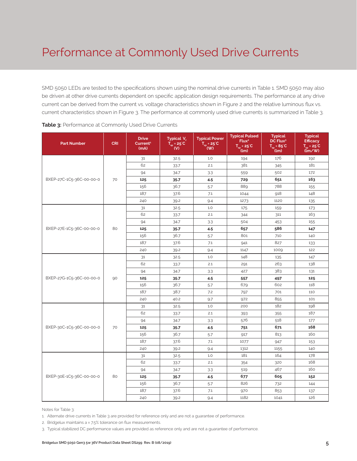SMD 5050 LEDs are tested to the specifications shown using the nominal drive currents in Table 1. SMD 5050 may also be driven at other drive currents dependent on specific application design requirements. The performance at any drive current can be derived from the current vs. voltage characteristics shown in Figure 2 and the relative luminous flux vs. current characteristics shown in Figure 3. The performance at commonly used drive currents is summarized in Table 3.

| <b>Part Number</b>       | <b>CRI</b> | <b>Drive</b><br>Current <sup>1</sup><br>(mA) | Typical V <sub>r</sub><br>$T_{\rm sp}$ = 25 °C<br>$\mathbf{w}$ | <b>Typical Power</b><br>$T_{\rm sp}$ = 25°C<br>(W) | <b>Typical Pulsed</b><br>Flux <sup>2</sup><br>$T_{sp} = 25^{\circ}C$<br>(lm) | <b>Typical</b><br>DC Flux <sup>3</sup><br>$T_{\rm sp}$ = 85°C<br>(lm) | <b>Typical</b><br><b>Efficacy</b><br>$T_{sp} = 25^{\circ}C$<br>(lm/W) |
|--------------------------|------------|----------------------------------------------|----------------------------------------------------------------|----------------------------------------------------|------------------------------------------------------------------------------|-----------------------------------------------------------------------|-----------------------------------------------------------------------|
|                          |            | 31                                           | 32.5                                                           | 1.0                                                | 194                                                                          | 176                                                                   | 192                                                                   |
|                          |            | 62                                           | 33.7                                                           | 2.1                                                | 381                                                                          | 345                                                                   | 181                                                                   |
|                          |            | 94                                           | 34.7                                                           | 3.3                                                | 559                                                                          | 502                                                                   | 172                                                                   |
| BXEP-27C-1C5-36C-00-00-0 | 70         | 125                                          | 35.7                                                           | 4.5                                                | 729                                                                          | 651                                                                   | 163                                                                   |
|                          |            | 156                                          | 36.7                                                           | 5.7                                                | 889                                                                          | 788                                                                   | 155                                                                   |
|                          |            | 187                                          | 37.6                                                           | 7.1                                                | 1044                                                                         | 918                                                                   | 148                                                                   |
|                          |            | 240                                          | 39.2                                                           | 9.4                                                | 1273                                                                         | 1120                                                                  | 135                                                                   |
|                          |            | 31                                           | 32.5                                                           | 1.0                                                | 175                                                                          | 159                                                                   | 173                                                                   |
|                          |            | 62                                           | 33.7                                                           | 2.1                                                | 344                                                                          | 311                                                                   | 163                                                                   |
|                          |            | 94                                           | 34.7                                                           | 3.3                                                | 504                                                                          | 453                                                                   | 155                                                                   |
| BXEP-27E-1C5-36C-00-00-0 | 80         | 125                                          | 35.7                                                           | 4.5                                                | 657                                                                          | 586                                                                   | 147                                                                   |
|                          |            | 156                                          | 36.7                                                           | 5.7                                                | 801                                                                          | 710                                                                   | 140                                                                   |
|                          |            | 187                                          | 37.6                                                           | 7.1                                                | 941                                                                          | 827                                                                   | 133                                                                   |
|                          |            | 240                                          | 39.2                                                           | 9.4                                                | 1147                                                                         | 1009                                                                  | 122                                                                   |
|                          |            | 31                                           | 32.5                                                           | 1.0                                                | 148                                                                          | 135                                                                   | 147                                                                   |
|                          |            | 62                                           | 33.7                                                           | 2.1                                                | 291                                                                          | 263                                                                   | 138                                                                   |
|                          |            | 94                                           | 34.7                                                           | 3.3                                                | 427                                                                          | 383                                                                   | 131                                                                   |
| BXEP-27G-1C5-36C-00-00-0 | 90         | 125                                          | 35.7                                                           | 4.5                                                | 557                                                                          | 497                                                                   | 125                                                                   |
|                          |            | 156                                          | 36.7                                                           | 5.7                                                | 679                                                                          | 602                                                                   | 118                                                                   |
|                          |            | 187                                          | 38.7                                                           | 7.2                                                | 797                                                                          | 701                                                                   | 110                                                                   |
|                          |            | 240                                          | 40.2                                                           | 9.7                                                | 972                                                                          | 855                                                                   | 101                                                                   |
|                          |            | 31                                           | 32.5                                                           | 1.0                                                | 200                                                                          | 182                                                                   | 198                                                                   |
|                          |            | 62                                           | 33.7                                                           | 2.1                                                | 393                                                                          | 355                                                                   | 187                                                                   |
|                          |            | 94                                           | 34.7                                                           | 3.3                                                | 576                                                                          | 518                                                                   | 177                                                                   |
| BXEP-30C-1C5-36C-00-00-0 | 70         | 125                                          | 35.7                                                           | 4.5                                                | 751                                                                          | 671                                                                   | 168                                                                   |
|                          |            | 156                                          | 36.7                                                           | 5.7                                                | 917                                                                          | 813                                                                   | 160                                                                   |
|                          |            | 187                                          | 37.6                                                           | 7.1                                                | 1077                                                                         | 947                                                                   | 153                                                                   |
|                          |            | 240                                          | 39.2                                                           | 9.4                                                | 1312                                                                         | 1155                                                                  | 140                                                                   |
|                          |            | 31                                           | 32.5                                                           | 1.0                                                | 181                                                                          | 164                                                                   | 178                                                                   |
|                          |            | 62                                           | 33.7                                                           | 2.1                                                | 354                                                                          | 320                                                                   | 168                                                                   |
|                          |            | 94                                           | 34.7                                                           | 3.3                                                | 519                                                                          | 467                                                                   | 160                                                                   |
| BXEP-30E-1C5-36C-00-00-0 | 80         | 125                                          | 35.7                                                           | 4.5                                                | 677                                                                          | 605                                                                   | 152                                                                   |
|                          |            | 156                                          | 36.7                                                           | 5.7                                                | 826                                                                          | 732                                                                   | 144                                                                   |
|                          |            | 187                                          | 37.6                                                           | 7.1                                                | 970                                                                          | 853                                                                   | 137                                                                   |
|                          |            | 240                                          | 39.2                                                           | 9.4                                                | 1182                                                                         | 1041                                                                  | 126                                                                   |

**Table 3:** Performance at Commonly Used Drive Currents

Notes for Table 3:

1. Alternate drive currents in Table 3 are provided for reference only and are not a guarantee of performance.

2. Bridgelux maintains a  $\pm$  7.5% tolerance on flux measurements.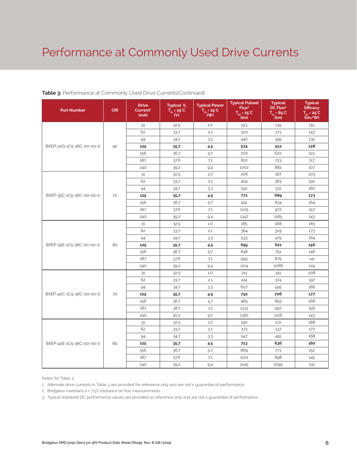### Performance at Commonly Used Drive Currents

#### **Table 3:** Performance at Commonly Used Drive Currents(Continued)

| <b>Part Number</b>       | <b>CRI</b> | <b>Drive</b><br>Current <sup>1</sup><br>(mA) | Typical V.<br>$T_{\rm sp}$ = 25°C<br>(V) | <b>Typical Power</b><br>$T_{\rm sp}$ = 25°C<br>(W) | <b>Typical Pulsed</b><br>Flux <sup>2</sup><br>$T_{sp} = 25^{\circ}C$<br>(lm) | <b>Typical</b><br>DC Flux <sup>3</sup><br>$T_{so} = 85^{\circ}C$<br>(lm) | <b>Typical</b><br><b>Efficacy</b><br>$T_{so} = 25^{\circ}C$<br>$\lim$ /w |
|--------------------------|------------|----------------------------------------------|------------------------------------------|----------------------------------------------------|------------------------------------------------------------------------------|--------------------------------------------------------------------------|--------------------------------------------------------------------------|
|                          |            | 31                                           | 32.5                                     | 1.0                                                | 153                                                                          | 139                                                                      | 151                                                                      |
|                          |            | 62                                           | 33.7                                     | 2.1                                                | 300                                                                          | 271                                                                      | 143                                                                      |
|                          |            | 94                                           | 34.7                                     | 3.3                                                | 440                                                                          | 395                                                                      | 135                                                                      |
| BXEP-30G-1C5-36C-00-00-0 | 90         | 125                                          | 35.7                                     | 4.5                                                | 574                                                                          | 512                                                                      | 128                                                                      |
|                          |            | 156                                          | 36.7                                     | 5.7                                                | 700                                                                          | 620                                                                      | 122                                                                      |
|                          |            | 187                                          | 37.6                                     | 7.1                                                | 822                                                                          | 723                                                                      | 117                                                                      |
|                          |            | 240                                          | 39.2                                     | 9.4                                                | 1002                                                                         | 882                                                                      | 107                                                                      |
|                          |            | 31                                           | 32.5                                     | 1.0                                                | 206                                                                          | 187                                                                      | 203                                                                      |
|                          |            | 62                                           | 33.7                                     | 2.1                                                | 404                                                                          | 365                                                                      | 192                                                                      |
|                          |            | 94                                           | 34.7                                     | 3.3                                                | 592                                                                          | 531                                                                      | 182                                                                      |
| BXEP-35C-1C5-36C-00-00-0 | 70         | 125                                          | 35.7                                     | 4.5                                                | 771                                                                          | 689                                                                      | 173                                                                      |
|                          |            | 156                                          | 36.7                                     | 5.7                                                | 941                                                                          | 834                                                                      | 164                                                                      |
|                          |            | 187                                          | 37.6                                     | 7.1                                                | 1105                                                                         | 972                                                                      | 157                                                                      |
|                          |            | 240                                          | 39.2                                     | 9.4                                                | 1347                                                                         | 1185                                                                     | 143                                                                      |
|                          |            | 31                                           | 32.5                                     | 1.0                                                | 185                                                                          | 168                                                                      | 183                                                                      |
|                          |            | 62                                           | 33.7                                     | 2.1                                                | 364                                                                          | 329                                                                      | 173                                                                      |
|                          |            | 94                                           | 34.7                                     | 3.3                                                | 533                                                                          | 479                                                                      | 164                                                                      |
| BXEP-35E-1C5-36C-00-00-0 | 80         | 125                                          | 35.7                                     | 4.5                                                | 695                                                                          | 621                                                                      | 156                                                                      |
|                          |            | 156                                          | 36.7                                     | 5.7                                                | 848                                                                          | 751                                                                      | 148                                                                      |
|                          |            | 187                                          | 37.6                                     | 7.1                                                | 995                                                                          | 875                                                                      | 141                                                                      |
|                          |            | 240                                          | 39.2                                     | 9.4                                                | 1214                                                                         | 1068                                                                     | 129                                                                      |
|                          |            | 31                                           | 32.5                                     | 1.0                                                | 211                                                                          | 191                                                                      | 208                                                                      |
|                          |            | 62                                           | 33.7                                     | 2.1                                                | 414                                                                          | 374                                                                      | 197                                                                      |
|                          |            | 94                                           | 34.7                                     | 3.3                                                | 607                                                                          | 545                                                                      | 186                                                                      |
| BXEP-40C-1C5-36C-00-00-0 | 70         | 125                                          | 35.7                                     | 4.5                                                | 791                                                                          | 706                                                                      | 177                                                                      |
|                          |            | 156                                          | 36.7                                     | 5.7                                                | 965                                                                          | 855                                                                      | 168                                                                      |
|                          |            | 187                                          | 38.7                                     | 7.2                                                | 1133                                                                         | 997                                                                      | 156                                                                      |
|                          |            | 240                                          | 40.2                                     | 9.7                                                | 1382                                                                         | 1216                                                                     | 143                                                                      |
|                          |            | 31                                           | 32.5                                     | 1.0                                                | 190                                                                          | 172                                                                      | 188                                                                      |
|                          |            | 62                                           | 33.7                                     | 2.1                                                | 373                                                                          | 337                                                                      | 177                                                                      |
|                          |            | 94                                           | 34.7                                     | 3.3                                                | 547                                                                          | 491                                                                      | 168                                                                      |
| BXEP-40E-1C5-36C-00-00-0 | 80         | 125                                          | 35.7                                     | 4.5                                                | 713                                                                          | 636                                                                      | 160                                                                      |
|                          |            | 156                                          | 36.7                                     | 5.7                                                | 869                                                                          | 771                                                                      | 152                                                                      |
|                          |            | 187                                          | 37.6                                     | 7.1                                                | 1021                                                                         | 898                                                                      | 145                                                                      |
|                          |            | 240                                          | 39.2                                     | 9.4                                                | 1245                                                                         | 1095                                                                     | 132                                                                      |

Notes for Table 3:

1. Alternate drive currents in Table 3 are provided for reference only and are not a guarantee of performance.

2. Bridgelux maintains a ± 7.5% tolerance on flux measurements.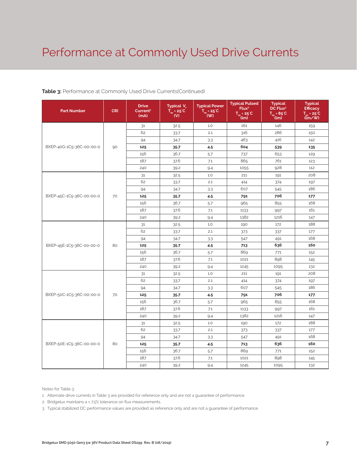### Performance at Commonly Used Drive Currents

#### **Table 3:** Performance at Commonly Used Drive Currents(Continued)

| <b>Part Number</b>       | <b>CRI</b> | <b>Drive</b><br>Current <sup>1</sup><br>(mA) | Typical V.<br>$T_{\rm sp}$ = 25°C<br>(V) | <b>Typical Power</b><br>$T_{sp} = 25^{\circ}C$<br>(W) | <b>Typical Pulsed</b><br>Flux <sup>2</sup><br>$T_{\rm sn}$ = 25°C<br>(lm) | <b>Typical</b><br>DC Flux <sup>3</sup><br>$T_{so} = 85^{\circ}C$<br>(lm) | <b>Typical</b><br><b>Efficacy</b><br>$T_{sp} = 25^{\circ}C$<br>(lm/W) |
|--------------------------|------------|----------------------------------------------|------------------------------------------|-------------------------------------------------------|---------------------------------------------------------------------------|--------------------------------------------------------------------------|-----------------------------------------------------------------------|
|                          |            | 31                                           | 32.5                                     | 1.0                                                   | 161                                                                       | 146                                                                      | 159                                                                   |
|                          |            | 62                                           | 33.7                                     | 2.1                                                   | 316                                                                       | 286                                                                      | 150                                                                   |
|                          |            | 94                                           | 34.7                                     | 3.3                                                   | 463                                                                       | 416                                                                      | 142                                                                   |
| BXEP-40G-1C5-36C-00-00-0 | 90         | 125                                          | 35.7                                     | 4.5                                                   | 604                                                                       | 539                                                                      | 135                                                                   |
|                          |            | 156                                          | 36.7                                     | 5.7                                                   | 737                                                                       | 653                                                                      | 129                                                                   |
|                          |            | 187                                          | 37.6                                     | 7.1                                                   | 865                                                                       | 761                                                                      | 123                                                                   |
|                          |            | 240                                          | 39.2                                     | 9.4                                                   | 1055                                                                      | 928                                                                      | 112                                                                   |
|                          |            | 31                                           | 32.5                                     | 1.0                                                   | 211                                                                       | 191                                                                      | 208                                                                   |
|                          |            | 62                                           | 33.7                                     | 2.1                                                   | 414                                                                       | 374                                                                      | 197                                                                   |
|                          |            | 94                                           | 34.7                                     | 3.3                                                   | 607                                                                       | 545                                                                      | 186                                                                   |
| BXEP-45C-1C5-36C-00-00-0 | 70         | 125                                          | 35.7                                     | 4.5                                                   | 791                                                                       | 706                                                                      | 177                                                                   |
|                          |            | 156                                          | 36.7                                     | 5.7                                                   | 965                                                                       | 855                                                                      | 168                                                                   |
|                          |            | 187                                          | 37.6                                     | 7.1                                                   | 1133                                                                      | 997                                                                      | 161                                                                   |
|                          |            | 240                                          | 39.2                                     | 9.4                                                   | 1382                                                                      | 1216                                                                     | 147                                                                   |
|                          |            | 31                                           | 32.5                                     | 1.0                                                   | 190                                                                       | 172                                                                      | 188                                                                   |
|                          |            | 62                                           | 33.7                                     | 2.1                                                   | 373                                                                       | 337                                                                      | 177                                                                   |
|                          |            | 94                                           | 34.7                                     | 3.3                                                   | 547                                                                       | 491                                                                      | 168                                                                   |
| BXEP-45E-1C5-36C-00-00-0 | 80         | 125                                          | 35.7                                     | 4.5                                                   | 713                                                                       | 636                                                                      | 160                                                                   |
|                          |            | 156                                          | 36.7                                     | 5.7                                                   | 869                                                                       | 771                                                                      | 152                                                                   |
|                          |            | 187                                          | 37.6                                     | 7.1                                                   | 1021                                                                      | 898                                                                      | 145                                                                   |
|                          |            | 240                                          | 39.2                                     | 9.4                                                   | 1245                                                                      | 1095                                                                     | 132                                                                   |
|                          |            | 31                                           | 32.5                                     | 1.0                                                   | 211                                                                       | 191                                                                      | 208                                                                   |
|                          |            | 62                                           | 33.7                                     | 2.1                                                   | 414                                                                       | 374                                                                      | 197                                                                   |
|                          |            | 94                                           | 34.7                                     | 3.3                                                   | 607                                                                       | 545                                                                      | 186                                                                   |
| BXEP-50C-1C5-36C-00-00-0 | 70         | 125                                          | 35.7                                     | 4.5                                                   | 791                                                                       | 706                                                                      | 177                                                                   |
|                          |            | 156                                          | 36.7                                     | 5.7                                                   | 965                                                                       | 855                                                                      | 168                                                                   |
|                          |            | 187                                          | 37.6                                     | 7.1                                                   | 1133                                                                      | 997                                                                      | 161                                                                   |
|                          |            | 240                                          | 39.2                                     | 9.4                                                   | 1382                                                                      | 1216                                                                     | 147                                                                   |
|                          |            | 31                                           | 32.5                                     | 1.0                                                   | 190                                                                       | 172                                                                      | 188                                                                   |
|                          |            | 62                                           | 33.7                                     | 2.1                                                   | 373                                                                       | 337                                                                      | 177                                                                   |
|                          |            | 94                                           | 34.7                                     | 3.3                                                   | 547                                                                       | 491                                                                      | 168                                                                   |
| BXEP-50E-1C5-36C-00-00-0 | 80         | 125                                          | 35.7                                     | 4.5                                                   | 713                                                                       | 636                                                                      | 160                                                                   |
|                          |            | 156                                          | 36.7                                     | 5.7                                                   | 869                                                                       | 771                                                                      | 152                                                                   |
|                          |            | 187                                          | 37.6                                     | 7.1                                                   | 1021                                                                      | 898                                                                      | 145                                                                   |
|                          |            | 240                                          | 39.2                                     | 9.4                                                   | 1245                                                                      | 1095                                                                     | 132                                                                   |

Notes for Table 3:

1. Alternate drive currents in Table 3 are provided for reference only and are not a guarantee of performance.

2. Bridgelux maintains a ± 7.5% tolerance on flux measurements.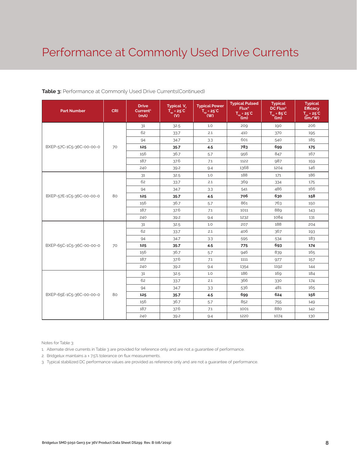### Performance at Commonly Used Drive Currents

| <b>Part Number</b>       | <b>CRI</b> | <b>Drive</b><br>Current <sup>1</sup><br>(mA) | Typical V.<br>$\overline{T}_{\rm sp}$ = 25°C<br>$\overline{\mathsf{w}}$ | <b>Typical Power</b><br>$\overline{T_{\rm sp}}$ = 25 <sup>°</sup> C<br>$($ W) | <b>Typical Pulsed</b><br>Flux <sup>2</sup><br>$T_{sp} = 25^{\circ}C$<br>(lm) | <b>Typical</b><br>DC Flux <sup>3</sup><br>$T_{sp} = 85^{\circ}C$<br>(lm) | <b>Typical</b><br><b>Efficacy</b><br>$T_{sp} = 25^{\circ}C$<br>(lm/W) |
|--------------------------|------------|----------------------------------------------|-------------------------------------------------------------------------|-------------------------------------------------------------------------------|------------------------------------------------------------------------------|--------------------------------------------------------------------------|-----------------------------------------------------------------------|
|                          |            | 31                                           | 32.5                                                                    | 1.0                                                                           | 209                                                                          | 190                                                                      | 206                                                                   |
|                          |            | 62                                           | 33.7                                                                    | 2.1                                                                           | 410                                                                          | 370                                                                      | 195                                                                   |
|                          |            | 94                                           | 34.7                                                                    | 3.3                                                                           | 601                                                                          | 540                                                                      | 185                                                                   |
| BXEP-57C-1C5-36C-00-00-0 | 70         | 125                                          | 35.7                                                                    | 4.5                                                                           | 783                                                                          | 699                                                                      | 175                                                                   |
|                          |            | 156                                          | 36.7                                                                    | 5.7                                                                           | 956                                                                          | 847                                                                      | 167                                                                   |
|                          |            | 187                                          | 37.6                                                                    | 7.1                                                                           | 1122                                                                         | 987                                                                      | 159                                                                   |
|                          |            | 240                                          | 39.2                                                                    | 9.4                                                                           | 1368                                                                         | 1204                                                                     | 146                                                                   |
|                          |            | 31                                           | 32.5                                                                    | 1.0                                                                           | 188                                                                          | 171                                                                      | 186                                                                   |
|                          |            | 62                                           | 33.7                                                                    | 2.1                                                                           | 369                                                                          | 334                                                                      | 175                                                                   |
| BXEP-57E-1C5-36C-00-00-0 |            | 94                                           | 34.7                                                                    | 3.3                                                                           | 541                                                                          | 486                                                                      | 166                                                                   |
|                          | 80         | 125                                          | 35.7                                                                    | 4.5                                                                           | 706                                                                          | 630                                                                      | 158                                                                   |
|                          |            | 156                                          | 36.7                                                                    | 5.7                                                                           | 861                                                                          | 763                                                                      | 150                                                                   |
|                          |            | 187                                          | 37.6                                                                    | 7.1                                                                           | 1011                                                                         | 889                                                                      | 143                                                                   |
|                          |            | 240                                          | 39.2                                                                    | 9.4                                                                           | 1232                                                                         | 1084                                                                     | 131                                                                   |
|                          |            | 31                                           | 32.5                                                                    | 1.0                                                                           | 207                                                                          | 188                                                                      | 204                                                                   |
|                          |            | 62                                           | 33.7                                                                    | 2.1                                                                           | 406                                                                          | 367                                                                      | 193                                                                   |
|                          |            | 94                                           | 34.7                                                                    | 3.3                                                                           | 595                                                                          | 534                                                                      | 183                                                                   |
| BXEP-65C-1C5-36C-00-00-0 | 70         | 125                                          | 35.7                                                                    | 4.5                                                                           | 775                                                                          | 693                                                                      | 174                                                                   |
|                          |            | 156                                          | 36.7                                                                    | 5.7                                                                           | 946                                                                          | 839                                                                      | 165                                                                   |
|                          |            | 187                                          | 37.6                                                                    | 7.1                                                                           | 1111                                                                         | 977                                                                      | 157                                                                   |
|                          |            | 240                                          | 39.2                                                                    | 9.4                                                                           | 1354                                                                         | 1192                                                                     | 144                                                                   |
|                          |            | 31                                           | 32.5                                                                    | 1.0                                                                           | 186                                                                          | 169                                                                      | 184                                                                   |
|                          |            | 62                                           | 33.7                                                                    | 2.1                                                                           | 366                                                                          | 330                                                                      | 174                                                                   |
|                          |            | 94                                           | 34.7                                                                    | 3.3                                                                           | 536                                                                          | 481                                                                      | 165                                                                   |
| BXEP-65E-1C5-36C-00-00-0 | 80         | 125                                          | 35.7                                                                    | 4.5                                                                           | 699                                                                          | 624                                                                      | 156                                                                   |
|                          |            | 156                                          | 36.7                                                                    | 5.7                                                                           | 852                                                                          | 755                                                                      | 149                                                                   |
|                          |            | 187                                          | 37.6                                                                    | 7.1                                                                           | 1001                                                                         | 880                                                                      | 142                                                                   |
|                          |            | 240                                          | 39.2                                                                    | 9.4                                                                           | 1220                                                                         | 1074                                                                     | 130                                                                   |

#### **Table 3:** Performance at Commonly Used Drive Currents(Continued)

Notes for Table 3:

1. Alternate drive currents in Table 3 are provided for reference only and are not a guarantee of performance.

2. Bridgelux maintains a ± 7.5% tolerance on flux measurements.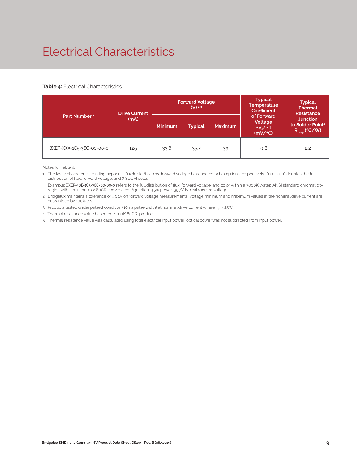### Electrical Characteristics

#### **Table 4:** Electrical Characteristics

|                          | <b>Drive Current</b> |                | <b>Forward Voltage</b><br>$(V)$ <sup>2,3</sup> |                | <b>Typical</b><br><b>Temperature</b><br><b>Coefficient</b>        | <b>Typical</b><br><b>Thermal</b><br><b>Resistance</b>                 |  |
|--------------------------|----------------------|----------------|------------------------------------------------|----------------|-------------------------------------------------------------------|-----------------------------------------------------------------------|--|
| Part Number <sup>1</sup> | (mA)                 | <b>Minimum</b> | <b>Typical</b>                                 | <b>Maximum</b> | of Forward<br>Voltage<br>$\Delta V_{\epsilon}/\Delta T$<br>(mV/C) | <b>Junction</b><br>to Solder Point <sup>41</sup><br>$R_{j-sp}$ (°C/W) |  |
| BXEP-XXX-1C5-36C-00-00-0 | 125                  | 33.8           | 35.7                                           | 39             | $-1.6$                                                            | 2.2                                                                   |  |

Notes for Table 4:

1. The last 7 characters (including hyphens '-') refer to flux bins, forward voltage bins, and color bin options, respectively. "00-00-0" denotes the full distribution of flux, forward voltage, and 7 SDCM color.

 Example: BXEP-30E-1C5-36C-00-00-0 refers to the full distribution of flux, forward voltage, and color within a 3000K 7-step ANSI standard chromaticity region with a minimum of 80CRI, 1x12 die configuration, 4.5w power, 35.7V typical forward voltage.

2. Bridgelux maintains a tolerance of ± 0.1V on forward voltage measurements. Voltage minimum and maximum values at the nominal drive current are guaranteed by 100% test.

3. Products tested under pulsed condition (10ms pulse width) at nominal drive current where  $T_{\rm{sp}}$  = 25°C.

4. Thermal resistance value based on 4000K 80CRI product .

5. Thermal resistance value was calculated using total electrical input power; optical power was not subtracted from input power.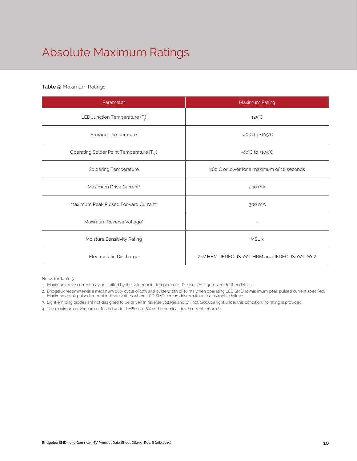## Absolute Maximum Ratings

#### **Table 5:** Maximum Ratings

| Parameter                                             | Maximum Rating                                  |  |  |  |
|-------------------------------------------------------|-------------------------------------------------|--|--|--|
| LED Junction Temperature $(T_i)$                      | $125^{\circ}$ C                                 |  |  |  |
| Storage Temperature                                   | $-40^{\circ}$ C to $+105^{\circ}$ C             |  |  |  |
| Operating Solder Point Temperature (T <sub>SD</sub> ) | $-40^{\circ}$ C to $+105^{\circ}$ C             |  |  |  |
| <b>Soldering Temperature</b>                          | 260°C or lower for a maximum of 10 seconds      |  |  |  |
| Maximum Drive Current <sup>1</sup>                    | 240 mA                                          |  |  |  |
| Maximum Peak Pulsed Forward Current <sup>2</sup>      | 300 mA                                          |  |  |  |
| Maximum Reverse Voltage <sup>3</sup>                  |                                                 |  |  |  |
| Moisture Sensitivity Rating                           | MSL <sub>3</sub>                                |  |  |  |
| Electrostatic Discharge                               | 2kV HBM. JEDEC-JS-001-HBM and JEDEC-JS-001-2012 |  |  |  |

Notes for Table 5:

- 1. Maximum drive current may be limited by the solder point temperature. Please see Figure 7 for further details.
- 2. Bridgelux recommends a maximum duty cycle of 10% and pulse width of 10 ms when operating LED SMD at maximum peak pulsed current specified. Maximum peak pulsed current indicate values where LED SMD can be driven without catastrophic failures.
- 3. Light emitting diodes are not designed to be driven in reverse voltage and will not produce light under this condition, no rating is provided.
- 4. The maximum driver current tested under LM80 is 128% of the nominal drive current (160mA).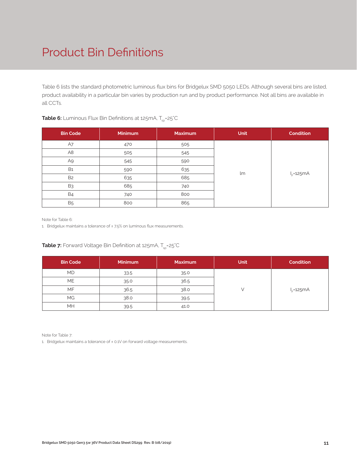### Product Bin Definitions

Table 6 lists the standard photometric luminous flux bins for Bridgelux SMD 5050 LEDs. Although several bins are listed, product availability in a particular bin varies by production run and by product performance. Not all bins are available in all CCTs.

| <b>Bin Code</b> | <b>Minimum</b> | <b>Maximum</b> | <b>Unit</b> | <b>Condition</b> |
|-----------------|----------------|----------------|-------------|------------------|
| A7              | 470            | 505            |             |                  |
| A <sub>8</sub>  | 505            | 545            |             |                  |
| A9              | 545            | 590            |             | $I_F = 125mA$    |
| <b>B1</b>       | 590            | 635            | lm          |                  |
| B <sub>2</sub>  | 635            | 685            |             |                  |
| B <sub>3</sub>  | 685            | 740            |             |                  |
| <b>B4</b>       | 740            | 800            |             |                  |
| <b>B5</b>       | 800            | 865            |             |                  |

#### **Table 6:** Luminous Flux Bin Definitions at 125mA, T<sub>sp</sub>=25°C

Note for Table 6:

1. Bridgelux maintains a tolerance of ±7.5% on luminous flux measurements.

#### **Table 7:** Forward Voltage Bin Definition at 125mA, T<sub>sp</sub>=25°C

| <b>Bin Code</b> | <b>Minimum</b> | <b>Maximum</b> | <b>Unit</b> | <b>Condition</b> |
|-----------------|----------------|----------------|-------------|------------------|
| <b>MD</b>       | 33.5           | 35.0           |             |                  |
| <b>ME</b>       | 35.0           | 36.5           |             |                  |
| MF              | 36.5           | 38.0           |             | $I_F = 125mA$    |
| MG.             | 38.0           | 39.5           |             |                  |
| MH              | 39.5           | 41.0           |             |                  |

Note for Table 7:

1. Bridgelux maintains a tolerance of ± 0.1V on forward voltage measurements.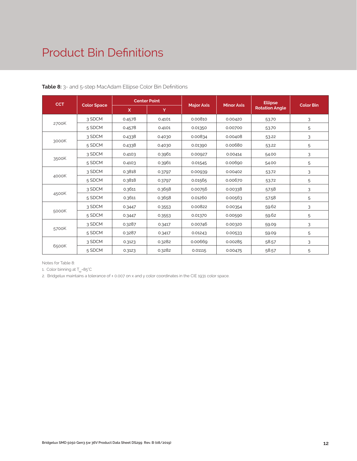### Product Bin Definitions

| <b>CCT</b> |                    | <b>Center Point</b> |        |                   |                   | <b>Ellipse</b>        |                  |
|------------|--------------------|---------------------|--------|-------------------|-------------------|-----------------------|------------------|
|            | <b>Color Space</b> | $\mathsf{x}$        | Y      | <b>Major Axis</b> | <b>Minor Axis</b> | <b>Rotation Angle</b> | <b>Color Bin</b> |
|            | 3 SDCM             | 0.4578              | 0.4101 | 0.00810           | 0.00420           | 53.70                 | 3                |
| 2700K      | 5 SDCM             | 0.4578              | 0.4101 | 0.01350           | 0.00700           | 53.70                 | 5                |
|            | 3 SDCM             | 0.4338              | 0.4030 | 0.00834           | 0.00408           | 53.22                 | 3                |
| 3000K      | 5 SDCM             | 0.4338              | 0.4030 | 0.01390           | 0.00680           | 53.22                 | 5                |
|            | 3 SDCM             | 0.4103              | 0.3961 | 0.00927           | 0.00414           | 54.00                 | 3                |
| 3500K      | 5 SDCM             | 0.4103              | 0.3961 | 0.01545           | 0.00690           | 54.00                 | 5                |
|            | 3 SDCM             | 0.3818              | 0.3797 | 0.00939           | 0.00402           | 53.72                 | 3                |
| 4000K      | 5 SDCM             | 0.3818              | 0.3797 | 0.01565           | 0.00670           | 53.72                 | 5                |
|            | 3 SDCM             | 0.3611              | 0.3658 | 0.00756           | 0.00338           | 57.58                 | 3                |
| 4500K      | 5 SDCM             | 0.3611              | 0.3658 | 0.01260           | 0.00563           | 57.58                 | 5                |
|            | 3 SDCM             | 0.3447              | 0.3553 | 0.00822           | 0.00354           | 59.62                 | 3                |
| 5000K      | 5 SDCM             | 0.3447              | 0.3553 | 0.01370           | 0.00590           | 59.62                 | 5                |
|            | 3 SDCM             | 0.3287              | 0.3417 | 0.00746           | 0.00320           | 59.09                 | 3                |
| 5700K      | 5 SDCM             | 0.3287              | 0.3417 | 0.01243           | 0.00533           | 59.09                 | 5                |
|            | 3 SDCM             | 0.3123              | 0.3282 | 0.00669           | 0.00285           | 58.57                 | 3                |
| 6500K      | 5 SDCM             | 0.3123              | 0.3282 | 0.01115           | 0.00475           | 58.57                 | 5                |

**Table 8:** 3- and 5-step MacAdam Ellipse Color Bin Definitions

Notes for Table 8:

1. Color binning at  $T_{\rm so}$ =85°C

2. Bridgelux maintains a tolerance of ± 0.007 on x and y color coordinates in the CIE 1931 color space.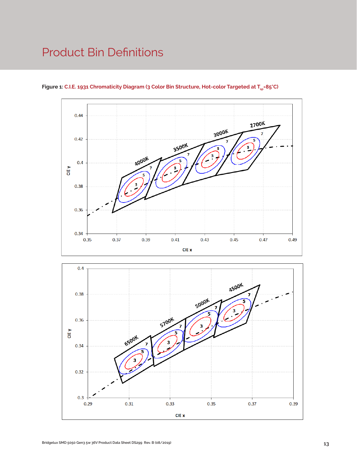### Product Bin Definitions



Figure 1: C.I.E. 1931 Chromaticity Diagram (3 Color Bin Structure, Hot-color Targeted at T<sub>sp</sub>=85°C)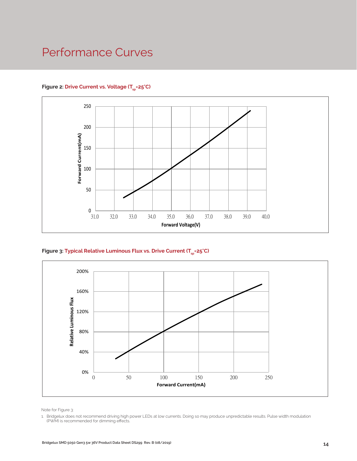### Performance Curves

#### Figure 2: Drive Current vs. Voltage (T<sub>SD</sub>=25°C)



Figure 3: Typical Relative Luminous Flux vs. Drive Current (T<sub>sp</sub>=25°C)



Note for Figure 3:

1. Bridgelux does not recommend driving high power LEDs at low currents. Doing so may produce unpredictable results. Pulse width modulation (PWM) is recommended for dimming effects.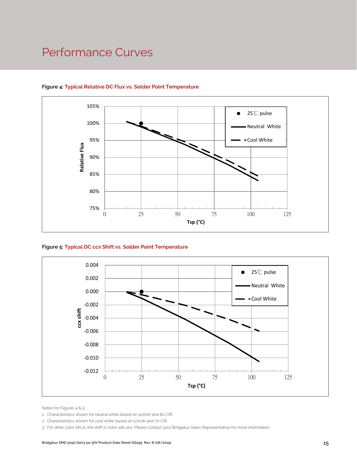### Performance Curves



#### **Figure 4: Typical Relative DC Flux vs. Solder Point Temperature**





Notes for Figures 4 & 5:

1. Characteristics shown for neutral white based on 4000K and 80 CRI.

3. For other color SKUs, the shift in color will vary. Please contact your Bridgelux Sales Representative for more information.

<sup>2.</sup> Characteristics shown for cool white based on 5700K and 70 CRI.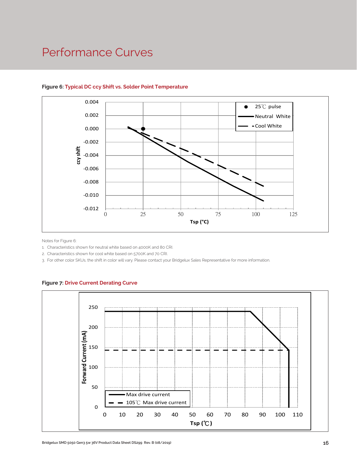### Performance Curves



#### **Figure 6: Typical DC ccy Shift vs. Solder Point Temperature**

Notes for Figure 6:

1. Characteristics shown for neutral white based on 4000K and 80 CRI.

2. Characteristics shown for cool white based on 5700K and 70 CRI.

3. For other color SKUs, the shift in color will vary. Please contact your Bridgelux Sales Representative for more information.



#### **Figure 7: Drive Current Derating Curve**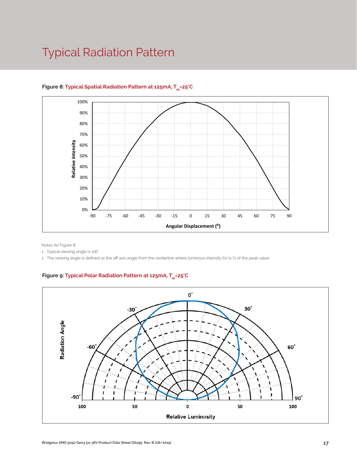### Typical Radiation Pattern



#### Figure 8: Typical Spatial Radiation Pattern at 125mA, T<sub>en</sub>=25°C

Notes for Figure 8:

1. Typical viewing angle is 116°.

2. The viewing angle is defined as the off axis angle from the centerline where luminous intensity (Iv) is ½ of the peak value.

#### Figure 9: Typical Polar Radiation Pattern at 125mA, T<sub>en</sub>=25°C

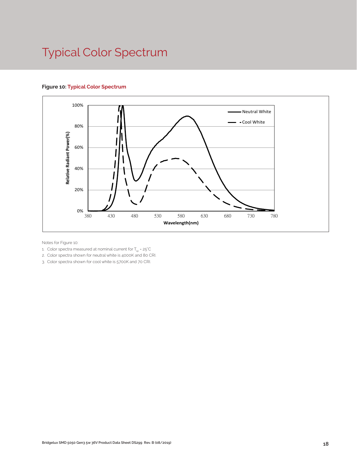### Typical Color Spectrum

#### **Figure 10: Typical Color Spectrum**



Notes for Figure 10:

- 1. Color spectra measured at nominal current for  $T_{sp}$  = 25°C
- 2. Color spectra shown for neutral white is 4000K and 80 CRI.
- 3. Color spectra shown for cool white is 5700K and 70 CRI.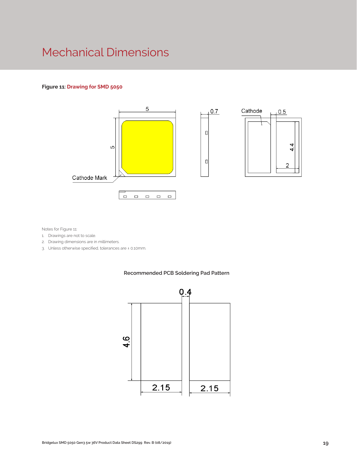### Mechanical Dimensions

#### **Figure 11: Drawing for SMD 5050**



Notes for Figure 11:

- 1. Drawings are not to scale.
- 2. Drawing dimensions are in millimeters.
- 3. Unless otherwise specified, tolerances are ± 0.10mm.

#### **Recommended PCB Soldering Pad Pattern**

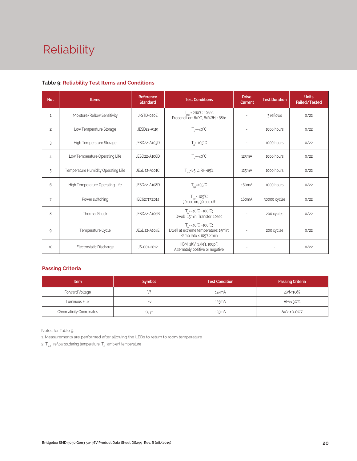# Reliability

| No.            | <b>Items</b>                        | Reference<br><b>Standard</b> | <b>Test Conditions</b>                                                                                    | <b>Drive</b><br><b>Current</b> | <b>Test Duration</b> | <b>Units</b><br><b>Failed/Tested</b> |
|----------------|-------------------------------------|------------------------------|-----------------------------------------------------------------------------------------------------------|--------------------------------|----------------------|--------------------------------------|
| $\mathbf{1}$   | Moisture/Reflow Sensitivity         | J-STD-020E                   | $T_{\text{std}}$ = 260°C, 10sec,<br>Precondition: 60°C, 60%RH, 168hr                                      |                                | 3 reflows            | 0/22                                 |
| $\overline{c}$ | Low Temperature Storage             | JESD22-A119                  | $T_a = -40^{\circ}C$                                                                                      |                                | 1000 hours           | 0/22                                 |
| 3              | High Temperature Storage            | JESD22-A103D                 | $T_a = 105^{\circ}C$                                                                                      | $\sim$                         | 1000 hours           | 0/22                                 |
| $\overline{4}$ | Low Temperature Operating Life      | JESD22-A108D                 | $T_a = -40^{\circ}C$                                                                                      | 125mA                          | 1000 hours           | 0/22                                 |
| 5              | Temperature Humidity Operating Life | JESD22-A101C                 | $T_{\rm SD} = 85^{\circ}$ C, RH=85%                                                                       | 125mA                          | 1000 hours           | 0/22                                 |
| 6              | High Temperature Operating Life     | JESD22-A108D                 | $T_{\rm SD}$ =105 $\rm ^{\circ}C$                                                                         | 160 <sub>m</sub> A             | 1000 hours           | 0/22                                 |
| 7              | Power switching                     | IEC62717:2014                | $T_{\rm SD}$ = 105 $\degree$ C<br>30 sec on, 30 sec off                                                   | 160 <sub>m</sub> A             | 30000 cycles         | 0/22                                 |
| 8              | <b>Thermal Shock</b>                | JESD22-A106B                 | $T_a = -40^{\circ}C - 100^{\circ}C$ ;<br>Dwell: 15min; Transfer: 10sec                                    |                                | 200 cycles           | 0/22                                 |
| 9              | Temperature Cycle                   | JESD22-A104E                 | $T_a = -40^{\circ}C \sim 100^{\circ}C$ ;<br>Dwell at extreme temperature: 15min;<br>Ramp rate < 105°C/min |                                | 200 cycles           | 0/22                                 |
| 10             | Electrostatic Discharge             | JS-001-2012                  | HBM, 2KV, 1.5kΩ, 100pF,<br>Alternately positive or negative                                               | $\overline{\phantom{a}}$       |                      | 0/22                                 |

#### **Table 9: Reliability Test Items and Conditions**

#### **Passing Criteria**

| <b>Item</b>                     | <b>Symbol</b> | <b>Test Condition</b> | <b>Passing Criteria</b> |
|---------------------------------|---------------|-----------------------|-------------------------|
| Forward Voltage                 | Vf            | 125mA                 | ΔVf<10%                 |
| Luminous Flux                   | ŀ٧            | 125mA                 | ΔFν<30%                 |
| <b>Chromaticity Coordinates</b> | (x, y)        | 125mA                 | Δu'v'<0.007             |

Notes for Table 9:

1. Measurements are performed after allowing the LEDs to return to room temperature

2. T<sub>sld</sub> : reflow soldering temperature; T<sub>a</sub> : ambient temperature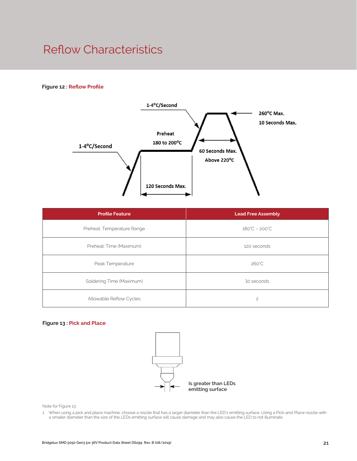### Reflow Characteristics

#### **Figure 12 : Reflow Profile**



| <b>Profile Feature</b>     | <b>Lead Free Assembly</b>     |  |
|----------------------------|-------------------------------|--|
| Preheat: Temperature Range | $180^{\circ}C - 200^{\circ}C$ |  |
| Preheat: Time (Maximum)    | 120 seconds                   |  |
| Peak Temperature           | 260°C                         |  |
| Soldering Time (Maximum)   | 10 seconds                    |  |
| Allowable Reflow Cycles    | $\overline{c}$                |  |

#### **Figure 13 : Pick and Place**



Note for Figure 13:

1. When using a pick and place machine, choose a nozzle that has a larger diameter than the LED's emitting surface. Using a Pick-and-Place nozzle with a smaller diameter than the size of the LEDs emitting surface will cause damage and may also cause the LED to not illuminate.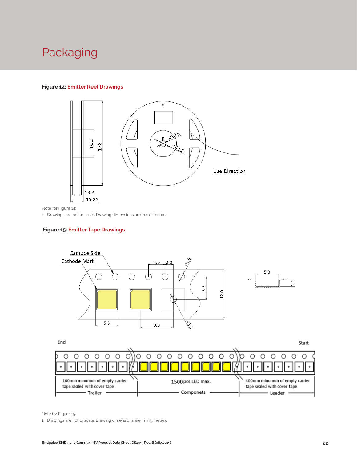### Packaging

#### **Figure 14: Emitter Reel Drawings**



Note for Figure 14:

1. Drawings are not to scale. Drawing dimensions are in millimeters.

#### **Figure 15: Emitter Tape Drawings**



160mm minumun of empty carrier 1500 pcs LED max. 400mm minumun of empty carrier tape sealed with cover tape tape sealed with cover tape - Componets - Trailer Leader .

Note for Figure 15:

1. Drawings are not to scale. Drawing dimensions are in millimeters.

 $\bullet$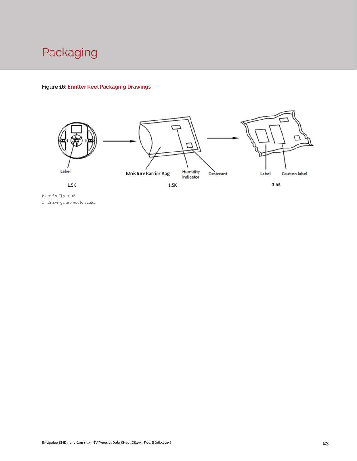### Packaging

#### **Figure 16: Emitter Reel Packaging Drawings**



Note for Figure 16: 1. Drawings are not to scale.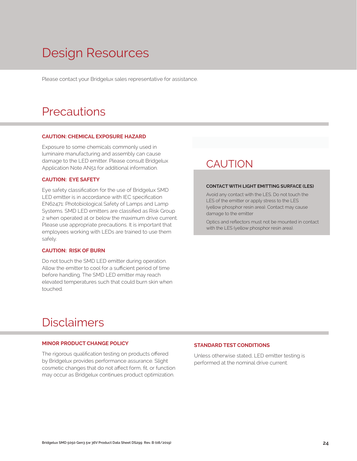## Design Resources

Please contact your Bridgelux sales representative for assistance.

### **Precautions**

#### **CAUTION: CHEMICAL EXPOSURE HAZARD**

Exposure to some chemicals commonly used in luminaire manufacturing and assembly can cause damage to the LED emitter. Please consult Bridgelux Application Note AN51 for additional information.

#### **CAUTION: EYE SAFETY**

Eye safety classification for the use of Bridgelux SMD LED emitter is in accordance with IEC specification EN62471: Photobiological Safety of Lamps and Lamp Systems. SMD LED emitters are classified as Risk Group 2 when operated at or below the maximum drive current. Please use appropriate precautions. It is important that employees working with LEDs are trained to use them safely.

#### **CAUTION: RISK OF BURN**

Do not touch the SMD LED emitter during operation. Allow the emitter to cool for a sufficient period of time before handling. The SMD LED emitter may reach elevated temperatures such that could burn skin when touched.

### **CAUTION**

#### **CONTACT WITH LIGHT EMITTING SURFACE (LES)**

Avoid any contact with the LES. Do not touch the LES of the emitter or apply stress to the LES (yellow phosphor resin area). Contact may cause damage to the emitter

Optics and reflectors must not be mounted in contact with the LES (yellow phosphor resin area).

### Disclaimers

#### **MINOR PRODUCT CHANGE POLICY**

The rigorous qualification testing on products offered by Bridgelux provides performance assurance. Slight cosmetic changes that do not affect form, fit, or function may occur as Bridgelux continues product optimization.

#### **STANDARD TEST CONDITIONS**

Unless otherwise stated, LED emitter testing is performed at the nominal drive current.